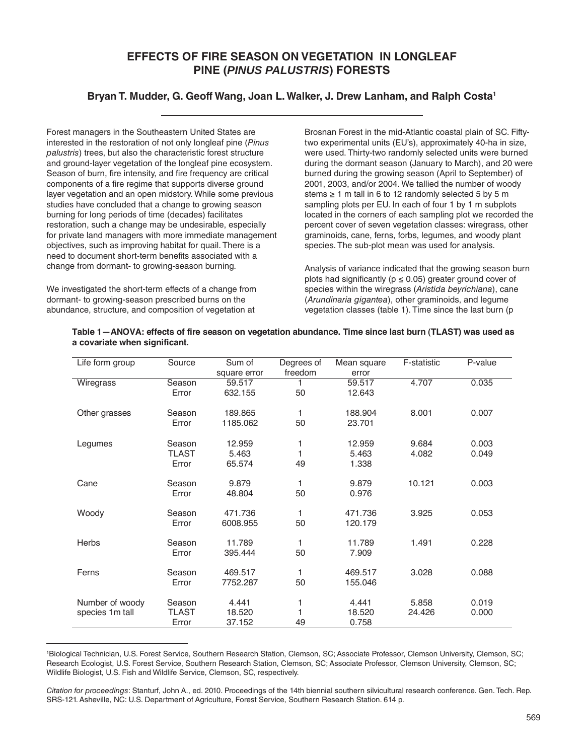## **EFFECTS OF FIRE SEASON ON VEGETATION IN LONGLEAF PINE (***PINUS PALUSTRIS***) FORESTS**

## **Bryan T. Mudder, G. Geoff Wang, Joan L. Walker, J. Drew Lanham, and Ralph Costa1**

Forest managers in the Southeastern United States are interested in the restoration of not only longleaf pine (*Pinus palustris*) trees, but also the characteristic forest structure and ground-layer vegetation of the longleaf pine ecosystem. Season of burn, fire intensity, and fire frequency are critical components of a fire regime that supports diverse ground layer vegetation and an open midstory. While some previous studies have concluded that a change to growing season burning for long periods of time (decades) facilitates restoration, such a change may be undesirable, especially for private land managers with more immediate management objectives, such as improving habitat for quail. There is a need to document short-term benefits associated with a change from dormant- to growing-season burning.

We investigated the short-term effects of a change from dormant- to growing-season prescribed burns on the abundance, structure, and composition of vegetation at

Brosnan Forest in the mid-Atlantic coastal plain of SC. Fiftytwo experimental units (EU's), approximately 40-ha in size, were used. Thirty-two randomly selected units were burned during the dormant season (January to March), and 20 were burned during the growing season (April to September) of 2001, 2003, and/or 2004. We tallied the number of woody stems  $\geq 1$  m tall in 6 to 12 randomly selected 5 by 5 m sampling plots per EU. In each of four 1 by 1 m subplots located in the corners of each sampling plot we recorded the percent cover of seven vegetation classes: wiregrass, other graminoids, cane, ferns, forbs, legumes, and woody plant species. The sub-plot mean was used for analysis.

Analysis of variance indicated that the growing season burn plots had significantly ( $p \le 0.05$ ) greater ground cover of species within the wiregrass (*Aristida beyrichiana*), cane (*Arundinaria gigantea*), other graminoids, and legume vegetation classes (table 1). Time since the last burn (p

| Life form group | Source       | Sum of       | Degrees of | Mean square | F-statistic | P-value |
|-----------------|--------------|--------------|------------|-------------|-------------|---------|
|                 |              | square error | freedom    | error       |             |         |
| Wiregrass       | Season       | 59.517       |            | 59.517      | 4.707       | 0.035   |
|                 | Error        | 632.155      | 50         | 12.643      |             |         |
| Other grasses   | Season       | 189.865      | 1          | 188.904     | 8.001       | 0.007   |
|                 | Error        | 1185.062     | 50         | 23.701      |             |         |
| Legumes         | Season       | 12.959       | 1          | 12.959      | 9.684       | 0.003   |
|                 | <b>TLAST</b> | 5.463        |            | 5.463       | 4.082       | 0.049   |
|                 | Error        | 65.574       | 49         | 1.338       |             |         |
| Cane            | Season       | 9.879        | 1          | 9.879       | 10.121      | 0.003   |
|                 | Error        | 48.804       | 50         | 0.976       |             |         |
| Woody           | Season       | 471.736      | 1          | 471.736     | 3.925       | 0.053   |
|                 | Error        | 6008.955     | 50         | 120.179     |             |         |
| Herbs           | Season       | 11.789       | 1          | 11.789      | 1.491       | 0.228   |
|                 | Error        | 395.444      | 50         | 7.909       |             |         |
| Ferns           | Season       | 469.517      | 1          | 469.517     | 3.028       | 0.088   |
|                 | Error        | 7752.287     | 50         | 155.046     |             |         |
| Number of woody | Season       | 4.441        | 1          | 4.441       | 5.858       | 0.019   |
| species 1m tall | TLAST        | 18.520       |            | 18.520      | 24.426      | 0.000   |
|                 | Error        | 37.152       | 49         | 0.758       |             |         |

## **Table 1—ANOVA: effects of fire season on vegetation abundance. Time since last burn (TLAST) was used as a covariate when significant.**

1 Biological Technician, U.S. Forest Service, Southern Research Station, Clemson, SC; Associate Professor, Clemson University, Clemson, SC; Research Ecologist, U.S. Forest Service, Southern Research Station, Clemson, SC; Associate Professor, Clemson University, Clemson, SC; Wildlife Biologist, U.S. Fish and Wildlife Service, Clemson, SC, respectively.

*Citation for proceedings*: Stanturf, John A., ed. 2010. Proceedings of the 14th biennial southern silvicultural research conference. Gen. Tech. Rep. SRS-121. Asheville, NC: U.S. Department of Agriculture, Forest Service, Southern Research Station. 614 p.